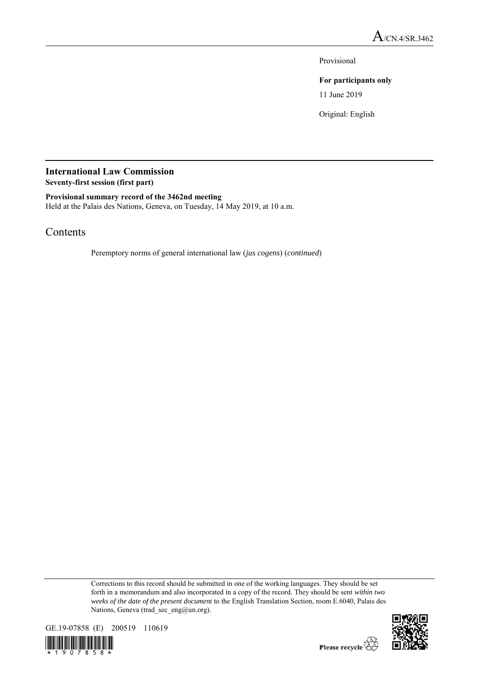Provisional

## **For participants only**

11 June 2019

Original: English

## **International Law Commission Seventy-first session (first part)**

**Provisional summary record of the 3462nd meeting** Held at the Palais des Nations, Geneva, on Tuesday, 14 May 2019, at 10 a.m.

## Contents

Peremptory norms of general international law (*jus cogens*) (*continued*)

Corrections to this record should be submitted in one of the working languages. They should be set forth in a memorandum and also incorporated in a copy of the record. They should be sent *within two weeks of the date of the present document* to the English Translation Section, room E.6040, Palais des Nations, Geneva (trad\_sec\_eng@un.org).





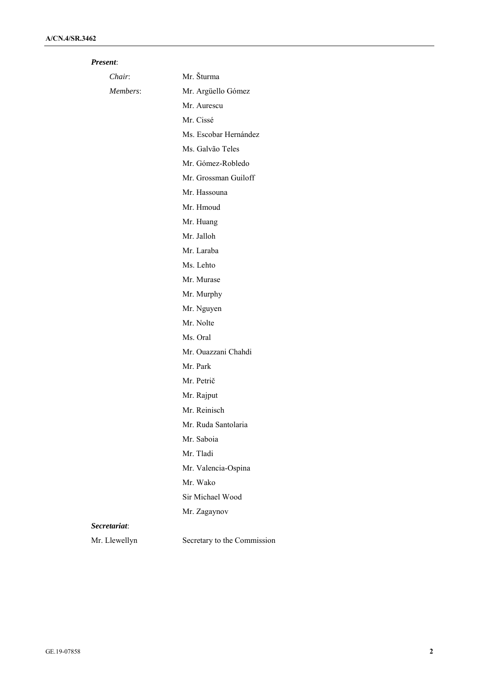## *Present*:

| Chair:        | Mr. Šturma                  |
|---------------|-----------------------------|
| Members:      | Mr. Argüello Gómez          |
|               | Mr. Aurescu                 |
|               | Mr. Cissé                   |
|               | Ms. Escobar Hernández       |
|               | Ms. Galvão Teles            |
|               | Mr. Gómez-Robledo           |
|               | Mr. Grossman Guiloff        |
|               | Mr. Hassouna                |
|               | Mr. Hmoud                   |
|               | Mr. Huang                   |
|               | Mr. Jalloh                  |
|               | Mr. Laraba                  |
|               | Ms. Lehto                   |
|               | Mr. Murase                  |
|               | Mr. Murphy                  |
|               | Mr. Nguyen                  |
|               | Mr. Nolte                   |
|               | Ms. Oral                    |
|               | Mr. Ouazzani Chahdi         |
|               | Mr. Park                    |
|               | Mr. Petrič                  |
|               | Mr. Rajput                  |
|               | Mr. Reinisch                |
|               | Mr. Ruda Santolaria         |
|               | Mr. Saboia                  |
|               | Mr. Tladi                   |
|               | Mr. Valencia-Ospina         |
|               | Mr. Wako                    |
|               | Sir Michael Wood            |
|               | Mr. Zagaynov                |
| Secretariat:  |                             |
| Mr. Llewellyn | Secretary to the Commission |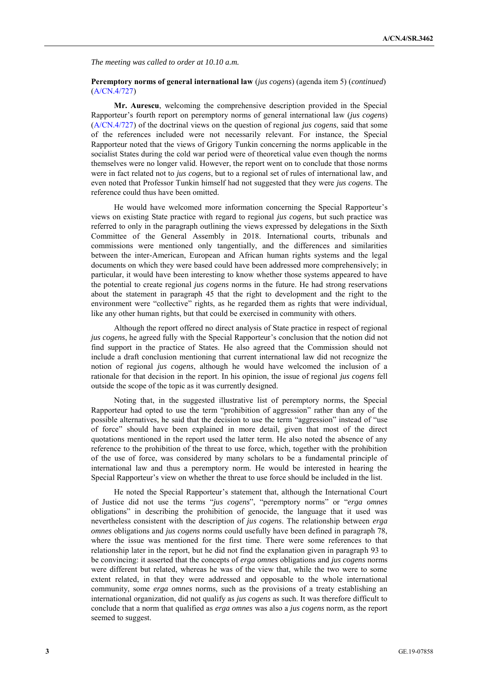*The meeting was called to order at 10.10 a.m.*

**Peremptory norms of general international law** (*jus cogens*) (agenda item 5) (*continued*) (A/CN.4/727)

**Mr. Aurescu**, welcoming the comprehensive description provided in the Special Rapporteur's fourth report on peremptory norms of general international law (*jus cogens*) (A/CN.4/727) of the doctrinal views on the question of regional *jus cogens*, said that some of the references included were not necessarily relevant. For instance, the Special Rapporteur noted that the views of Grigory Tunkin concerning the norms applicable in the socialist States during the cold war period were of theoretical value even though the norms themselves were no longer valid. However, the report went on to conclude that those norms were in fact related not to *jus cogens*, but to a regional set of rules of international law, and even noted that Professor Tunkin himself had not suggested that they were *jus cogens*. The reference could thus have been omitted.

He would have welcomed more information concerning the Special Rapporteur's views on existing State practice with regard to regional *jus cogens*, but such practice was referred to only in the paragraph outlining the views expressed by delegations in the Sixth Committee of the General Assembly in 2018. International courts, tribunals and commissions were mentioned only tangentially, and the differences and similarities between the inter-American, European and African human rights systems and the legal documents on which they were based could have been addressed more comprehensively; in particular, it would have been interesting to know whether those systems appeared to have the potential to create regional *jus cogens* norms in the future. He had strong reservations about the statement in paragraph 45 that the right to development and the right to the environment were "collective" rights, as he regarded them as rights that were individual, like any other human rights, but that could be exercised in community with others.

Although the report offered no direct analysis of State practice in respect of regional *jus cogens*, he agreed fully with the Special Rapporteur's conclusion that the notion did not find support in the practice of States. He also agreed that the Commission should not include a draft conclusion mentioning that current international law did not recognize the notion of regional *jus cogens*, although he would have welcomed the inclusion of a rationale for that decision in the report. In his opinion, the issue of regional *jus cogens* fell outside the scope of the topic as it was currently designed.

Noting that, in the suggested illustrative list of peremptory norms, the Special Rapporteur had opted to use the term "prohibition of aggression" rather than any of the possible alternatives, he said that the decision to use the term "aggression" instead of "use of force" should have been explained in more detail, given that most of the direct quotations mentioned in the report used the latter term. He also noted the absence of any reference to the prohibition of the threat to use force, which, together with the prohibition of the use of force, was considered by many scholars to be a fundamental principle of international law and thus a peremptory norm. He would be interested in hearing the Special Rapporteur's view on whether the threat to use force should be included in the list.

He noted the Special Rapporteur's statement that, although the International Court of Justice did not use the terms "*jus cogens*", "peremptory norms" or "*erga omnes* obligations" in describing the prohibition of genocide, the language that it used was nevertheless consistent with the description of *jus cogens*. The relationship between *erga omnes* obligations and *jus cogens* norms could usefully have been defined in paragraph 78, where the issue was mentioned for the first time. There were some references to that relationship later in the report, but he did not find the explanation given in paragraph 93 to be convincing: it asserted that the concepts of *erga omnes* obligations and *jus cogens* norms were different but related, whereas he was of the view that, while the two were to some extent related, in that they were addressed and opposable to the whole international community, some *erga omnes* norms, such as the provisions of a treaty establishing an international organization, did not qualify as *jus cogens* as such. It was therefore difficult to conclude that a norm that qualified as *erga omnes* was also a *jus cogens* norm, as the report seemed to suggest.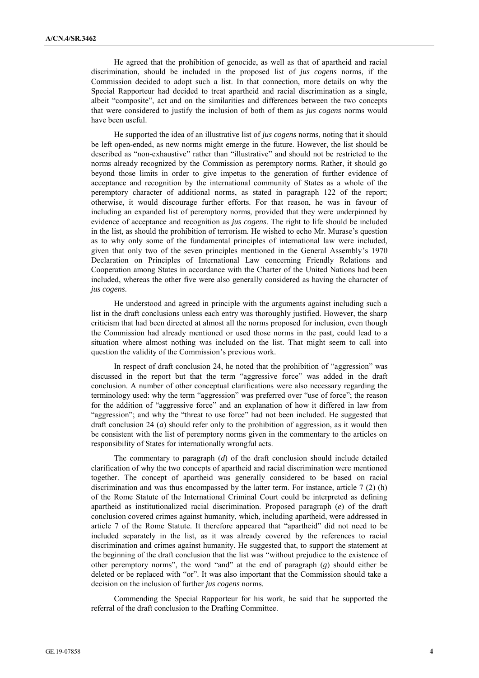He agreed that the prohibition of genocide, as well as that of apartheid and racial discrimination, should be included in the proposed list of *jus cogens* norms, if the Commission decided to adopt such a list. In that connection, more details on why the Special Rapporteur had decided to treat apartheid and racial discrimination as a single, albeit "composite", act and on the similarities and differences between the two concepts that were considered to justify the inclusion of both of them as *jus cogens* norms would have been useful.

He supported the idea of an illustrative list of *jus cogens* norms, noting that it should be left open-ended, as new norms might emerge in the future. However, the list should be described as "non-exhaustive" rather than "illustrative" and should not be restricted to the norms already recognized by the Commission as peremptory norms. Rather, it should go beyond those limits in order to give impetus to the generation of further evidence of acceptance and recognition by the international community of States as a whole of the peremptory character of additional norms, as stated in paragraph 122 of the report; otherwise, it would discourage further efforts. For that reason, he was in favour of including an expanded list of peremptory norms, provided that they were underpinned by evidence of acceptance and recognition as *jus cogens*. The right to life should be included in the list, as should the prohibition of terrorism. He wished to echo Mr. Murase's question as to why only some of the fundamental principles of international law were included, given that only two of the seven principles mentioned in the General Assembly's 1970 Declaration on Principles of International Law concerning Friendly Relations and Cooperation among States in accordance with the Charter of the United Nations had been included, whereas the other five were also generally considered as having the character of *jus cogens*.

He understood and agreed in principle with the arguments against including such a list in the draft conclusions unless each entry was thoroughly justified. However, the sharp criticism that had been directed at almost all the norms proposed for inclusion, even though the Commission had already mentioned or used those norms in the past, could lead to a situation where almost nothing was included on the list. That might seem to call into question the validity of the Commission's previous work.

In respect of draft conclusion 24, he noted that the prohibition of "aggression" was discussed in the report but that the term "aggressive force" was added in the draft conclusion. A number of other conceptual clarifications were also necessary regarding the terminology used: why the term "aggression" was preferred over "use of force"; the reason for the addition of "aggressive force" and an explanation of how it differed in law from "aggression"; and why the "threat to use force" had not been included. He suggested that draft conclusion 24 (*a*) should refer only to the prohibition of aggression, as it would then be consistent with the list of peremptory norms given in the commentary to the articles on responsibility of States for internationally wrongful acts.

The commentary to paragraph (*d*) of the draft conclusion should include detailed clarification of why the two concepts of apartheid and racial discrimination were mentioned together. The concept of apartheid was generally considered to be based on racial discrimination and was thus encompassed by the latter term. For instance, article 7 (2) (h) of the Rome Statute of the International Criminal Court could be interpreted as defining apartheid as institutionalized racial discrimination. Proposed paragraph (*e*) of the draft conclusion covered crimes against humanity, which, including apartheid, were addressed in article 7 of the Rome Statute. It therefore appeared that "apartheid" did not need to be included separately in the list, as it was already covered by the references to racial discrimination and crimes against humanity. He suggested that, to support the statement at the beginning of the draft conclusion that the list was "without prejudice to the existence of other peremptory norms", the word "and" at the end of paragraph (*g*) should either be deleted or be replaced with "or". It was also important that the Commission should take a decision on the inclusion of further *jus cogens* norms.

Commending the Special Rapporteur for his work, he said that he supported the referral of the draft conclusion to the Drafting Committee.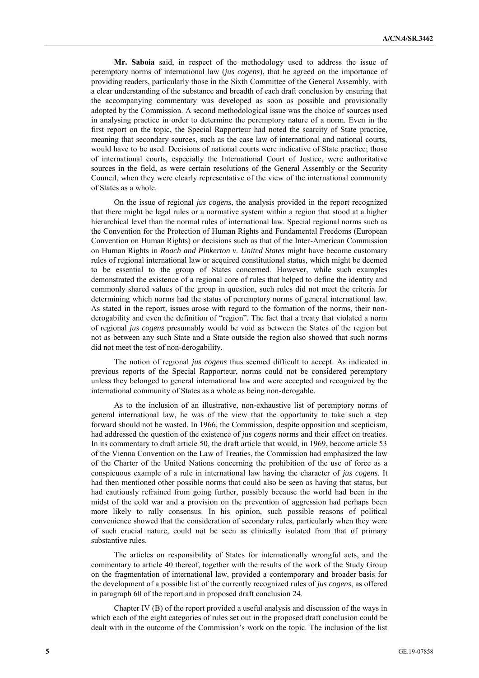**Mr. Saboia** said, in respect of the methodology used to address the issue of peremptory norms of international law (*jus cogens*), that he agreed on the importance of providing readers, particularly those in the Sixth Committee of the General Assembly, with a clear understanding of the substance and breadth of each draft conclusion by ensuring that the accompanying commentary was developed as soon as possible and provisionally adopted by the Commission. A second methodological issue was the choice of sources used in analysing practice in order to determine the peremptory nature of a norm. Even in the first report on the topic, the Special Rapporteur had noted the scarcity of State practice, meaning that secondary sources, such as the case law of international and national courts, would have to be used. Decisions of national courts were indicative of State practice; those of international courts, especially the International Court of Justice, were authoritative sources in the field, as were certain resolutions of the General Assembly or the Security Council, when they were clearly representative of the view of the international community of States as a whole.

On the issue of regional *jus cogens*, the analysis provided in the report recognized that there might be legal rules or a normative system within a region that stood at a higher hierarchical level than the normal rules of international law. Special regional norms such as the Convention for the Protection of Human Rights and Fundamental Freedoms (European Convention on Human Rights) or decisions such as that of the Inter-American Commission on Human Rights in *Roach and Pinkerton v. United States* might have become customary rules of regional international law or acquired constitutional status, which might be deemed to be essential to the group of States concerned. However, while such examples demonstrated the existence of a regional core of rules that helped to define the identity and commonly shared values of the group in question, such rules did not meet the criteria for determining which norms had the status of peremptory norms of general international law. As stated in the report, issues arose with regard to the formation of the norms, their nonderogability and even the definition of "region". The fact that a treaty that violated a norm of regional *jus cogens* presumably would be void as between the States of the region but not as between any such State and a State outside the region also showed that such norms did not meet the test of non-derogability.

The notion of regional *jus cogens* thus seemed difficult to accept. As indicated in previous reports of the Special Rapporteur, norms could not be considered peremptory unless they belonged to general international law and were accepted and recognized by the international community of States as a whole as being non-derogable.

As to the inclusion of an illustrative, non-exhaustive list of peremptory norms of general international law, he was of the view that the opportunity to take such a step forward should not be wasted. In 1966, the Commission, despite opposition and scepticism, had addressed the question of the existence of *jus cogens* norms and their effect on treaties. In its commentary to draft article 50, the draft article that would, in 1969, become article 53 of the Vienna Convention on the Law of Treaties, the Commission had emphasized the law of the Charter of the United Nations concerning the prohibition of the use of force as a conspicuous example of a rule in international law having the character of *jus cogens*. It had then mentioned other possible norms that could also be seen as having that status, but had cautiously refrained from going further, possibly because the world had been in the midst of the cold war and a provision on the prevention of aggression had perhaps been more likely to rally consensus. In his opinion, such possible reasons of political convenience showed that the consideration of secondary rules, particularly when they were of such crucial nature, could not be seen as clinically isolated from that of primary substantive rules.

The articles on responsibility of States for internationally wrongful acts, and the commentary to article 40 thereof, together with the results of the work of the Study Group on the fragmentation of international law, provided a contemporary and broader basis for the development of a possible list of the currently recognized rules of *jus cogens*, as offered in paragraph 60 of the report and in proposed draft conclusion 24.

Chapter IV (B) of the report provided a useful analysis and discussion of the ways in which each of the eight categories of rules set out in the proposed draft conclusion could be dealt with in the outcome of the Commission's work on the topic. The inclusion of the list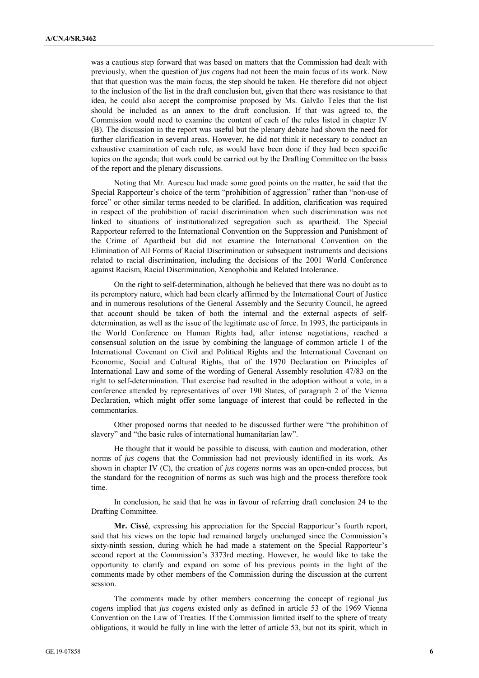was a cautious step forward that was based on matters that the Commission had dealt with previously, when the question of *jus cogens* had not been the main focus of its work. Now that that question was the main focus, the step should be taken. He therefore did not object to the inclusion of the list in the draft conclusion but, given that there was resistance to that idea, he could also accept the compromise proposed by Ms. Galvão Teles that the list should be included as an annex to the draft conclusion. If that was agreed to, the Commission would need to examine the content of each of the rules listed in chapter IV (B). The discussion in the report was useful but the plenary debate had shown the need for further clarification in several areas. However, he did not think it necessary to conduct an exhaustive examination of each rule, as would have been done if they had been specific topics on the agenda; that work could be carried out by the Drafting Committee on the basis of the report and the plenary discussions.

Noting that Mr. Aurescu had made some good points on the matter, he said that the Special Rapporteur's choice of the term "prohibition of aggression" rather than "non-use of force" or other similar terms needed to be clarified. In addition, clarification was required in respect of the prohibition of racial discrimination when such discrimination was not linked to situations of institutionalized segregation such as apartheid. The Special Rapporteur referred to the International Convention on the Suppression and Punishment of the Crime of Apartheid but did not examine the International Convention on the Elimination of All Forms of Racial Discrimination or subsequent instruments and decisions related to racial discrimination, including the decisions of the 2001 World Conference against Racism, Racial Discrimination, Xenophobia and Related Intolerance.

On the right to self-determination, although he believed that there was no doubt as to its peremptory nature, which had been clearly affirmed by the International Court of Justice and in numerous resolutions of the General Assembly and the Security Council, he agreed that account should be taken of both the internal and the external aspects of selfdetermination, as well as the issue of the legitimate use of force. In 1993, the participants in the World Conference on Human Rights had, after intense negotiations, reached a consensual solution on the issue by combining the language of common article 1 of the International Covenant on Civil and Political Rights and the International Covenant on Economic, Social and Cultural Rights, that of the 1970 Declaration on Principles of International Law and some of the wording of General Assembly resolution 47/83 on the right to self-determination. That exercise had resulted in the adoption without a vote, in a conference attended by representatives of over 190 States, of paragraph 2 of the Vienna Declaration, which might offer some language of interest that could be reflected in the commentaries.

Other proposed norms that needed to be discussed further were "the prohibition of slavery" and "the basic rules of international humanitarian law".

He thought that it would be possible to discuss, with caution and moderation, other norms of *jus cogens* that the Commission had not previously identified in its work. As shown in chapter IV (C), the creation of *jus cogens* norms was an open-ended process, but the standard for the recognition of norms as such was high and the process therefore took time.

In conclusion, he said that he was in favour of referring draft conclusion 24 to the Drafting Committee.

**Mr. Cissé**, expressing his appreciation for the Special Rapporteur's fourth report, said that his views on the topic had remained largely unchanged since the Commission's sixty-ninth session, during which he had made a statement on the Special Rapporteur's second report at the Commission's 3373rd meeting. However, he would like to take the opportunity to clarify and expand on some of his previous points in the light of the comments made by other members of the Commission during the discussion at the current session.

The comments made by other members concerning the concept of regional *jus cogens* implied that *jus cogens* existed only as defined in article 53 of the 1969 Vienna Convention on the Law of Treaties. If the Commission limited itself to the sphere of treaty obligations, it would be fully in line with the letter of article 53, but not its spirit, which in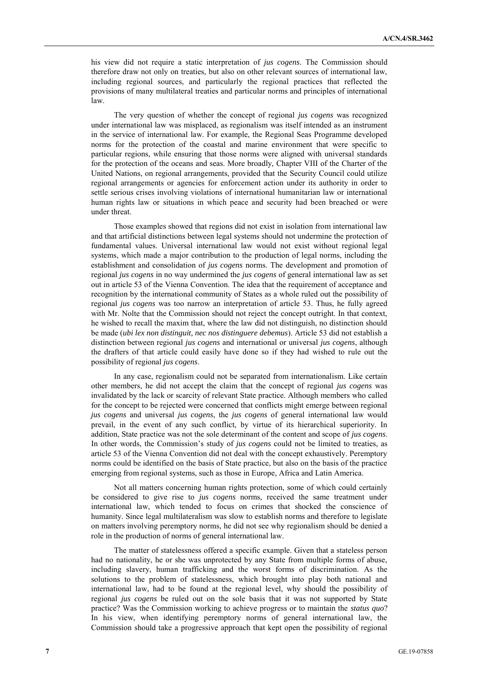his view did not require a static interpretation of *jus cogens*. The Commission should therefore draw not only on treaties, but also on other relevant sources of international law, including regional sources, and particularly the regional practices that reflected the provisions of many multilateral treaties and particular norms and principles of international law.

The very question of whether the concept of regional *jus cogens* was recognized under international law was misplaced, as regionalism was itself intended as an instrument in the service of international law. For example, the Regional Seas Programme developed norms for the protection of the coastal and marine environment that were specific to particular regions, while ensuring that those norms were aligned with universal standards for the protection of the oceans and seas. More broadly, Chapter VIII of the Charter of the United Nations, on regional arrangements, provided that the Security Council could utilize regional arrangements or agencies for enforcement action under its authority in order to settle serious crises involving violations of international humanitarian law or international human rights law or situations in which peace and security had been breached or were under threat.

Those examples showed that regions did not exist in isolation from international law and that artificial distinctions between legal systems should not undermine the protection of fundamental values. Universal international law would not exist without regional legal systems, which made a major contribution to the production of legal norms, including the establishment and consolidation of *jus cogens* norms. The development and promotion of regional *jus cogens* in no way undermined the *jus cogens* of general international law as set out in article 53 of the Vienna Convention. The idea that the requirement of acceptance and recognition by the international community of States as a whole ruled out the possibility of regional *jus cogens* was too narrow an interpretation of article 53. Thus, he fully agreed with Mr. Nolte that the Commission should not reject the concept outright. In that context, he wished to recall the maxim that, where the law did not distinguish, no distinction should be made (*ubi lex non distinguit, nec nos distinguere debemus*). Article 53 did not establish a distinction between regional *jus cogens* and international or universal *jus cogens*, although the drafters of that article could easily have done so if they had wished to rule out the possibility of regional *jus cogens*.

In any case, regionalism could not be separated from internationalism. Like certain other members, he did not accept the claim that the concept of regional *jus cogens* was invalidated by the lack or scarcity of relevant State practice. Although members who called for the concept to be rejected were concerned that conflicts might emerge between regional *jus cogens* and universal *jus cogens*, the *jus cogens* of general international law would prevail, in the event of any such conflict, by virtue of its hierarchical superiority. In addition, State practice was not the sole determinant of the content and scope of *jus cogens*. In other words, the Commission's study of *jus cogens* could not be limited to treaties, as article 53 of the Vienna Convention did not deal with the concept exhaustively. Peremptory norms could be identified on the basis of State practice, but also on the basis of the practice emerging from regional systems, such as those in Europe, Africa and Latin America.

Not all matters concerning human rights protection, some of which could certainly be considered to give rise to *jus cogens* norms, received the same treatment under international law, which tended to focus on crimes that shocked the conscience of humanity. Since legal multilateralism was slow to establish norms and therefore to legislate on matters involving peremptory norms, he did not see why regionalism should be denied a role in the production of norms of general international law.

The matter of statelessness offered a specific example. Given that a stateless person had no nationality, he or she was unprotected by any State from multiple forms of abuse, including slavery, human trafficking and the worst forms of discrimination. As the solutions to the problem of statelessness, which brought into play both national and international law, had to be found at the regional level, why should the possibility of regional *jus cogens* be ruled out on the sole basis that it was not supported by State practice? Was the Commission working to achieve progress or to maintain the *status quo*? In his view, when identifying peremptory norms of general international law, the Commission should take a progressive approach that kept open the possibility of regional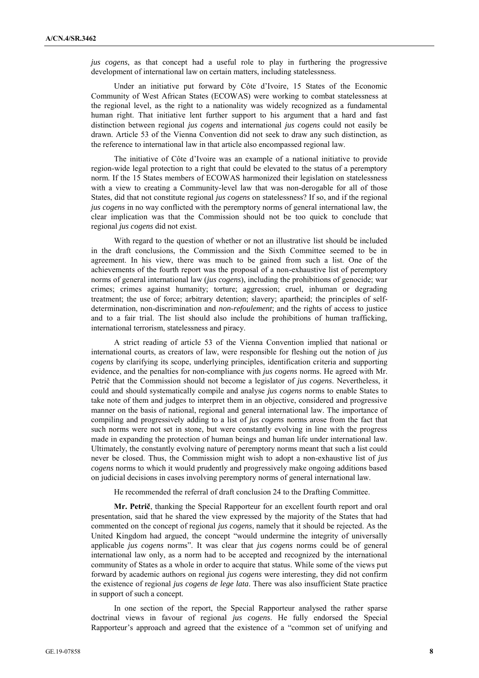*jus cogens*, as that concept had a useful role to play in furthering the progressive development of international law on certain matters, including statelessness.

Under an initiative put forward by Côte d'Ivoire, 15 States of the Economic Community of West African States (ECOWAS) were working to combat statelessness at the regional level, as the right to a nationality was widely recognized as a fundamental human right. That initiative lent further support to his argument that a hard and fast distinction between regional *jus cogens* and international *jus cogens* could not easily be drawn. Article 53 of the Vienna Convention did not seek to draw any such distinction, as the reference to international law in that article also encompassed regional law.

The initiative of Côte d'Ivoire was an example of a national initiative to provide region-wide legal protection to a right that could be elevated to the status of a peremptory norm. If the 15 States members of ECOWAS harmonized their legislation on statelessness with a view to creating a Community-level law that was non-derogable for all of those States, did that not constitute regional *jus cogens* on statelessness? If so, and if the regional *jus cogens* in no way conflicted with the peremptory norms of general international law, the clear implication was that the Commission should not be too quick to conclude that regional *jus cogens* did not exist.

With regard to the question of whether or not an illustrative list should be included in the draft conclusions, the Commission and the Sixth Committee seemed to be in agreement. In his view, there was much to be gained from such a list. One of the achievements of the fourth report was the proposal of a non-exhaustive list of peremptory norms of general international law (*jus cogens*), including the prohibitions of genocide; war crimes; crimes against humanity; torture; aggression; cruel, inhuman or degrading treatment; the use of force; arbitrary detention; slavery; apartheid; the principles of selfdetermination, non-discrimination and *non-refoulement*; and the rights of access to justice and to a fair trial. The list should also include the prohibitions of human trafficking, international terrorism, statelessness and piracy.

A strict reading of article 53 of the Vienna Convention implied that national or international courts, as creators of law, were responsible for fleshing out the notion of *jus cogens* by clarifying its scope, underlying principles, identification criteria and supporting evidence, and the penalties for non-compliance with *jus cogens* norms. He agreed with Mr. Petrič that the Commission should not become a legislator of *jus cogens*. Nevertheless, it could and should systematically compile and analyse *jus cogens* norms to enable States to take note of them and judges to interpret them in an objective, considered and progressive manner on the basis of national, regional and general international law. The importance of compiling and progressively adding to a list of *jus cogens* norms arose from the fact that such norms were not set in stone, but were constantly evolving in line with the progress made in expanding the protection of human beings and human life under international law. Ultimately, the constantly evolving nature of peremptory norms meant that such a list could never be closed. Thus, the Commission might wish to adopt a non-exhaustive list of *jus cogens* norms to which it would prudently and progressively make ongoing additions based on judicial decisions in cases involving peremptory norms of general international law.

He recommended the referral of draft conclusion 24 to the Drafting Committee.

**Mr. Petrič**, thanking the Special Rapporteur for an excellent fourth report and oral presentation, said that he shared the view expressed by the majority of the States that had commented on the concept of regional *jus cogens*, namely that it should be rejected. As the United Kingdom had argued, the concept "would undermine the integrity of universally applicable *jus cogens* norms". It was clear that *jus cogens* norms could be of general international law only, as a norm had to be accepted and recognized by the international community of States as a whole in order to acquire that status. While some of the views put forward by academic authors on regional *jus cogens* were interesting, they did not confirm the existence of regional *jus cogens de lege lata*. There was also insufficient State practice in support of such a concept.

In one section of the report, the Special Rapporteur analysed the rather sparse doctrinal views in favour of regional *jus cogens*. He fully endorsed the Special Rapporteur's approach and agreed that the existence of a "common set of unifying and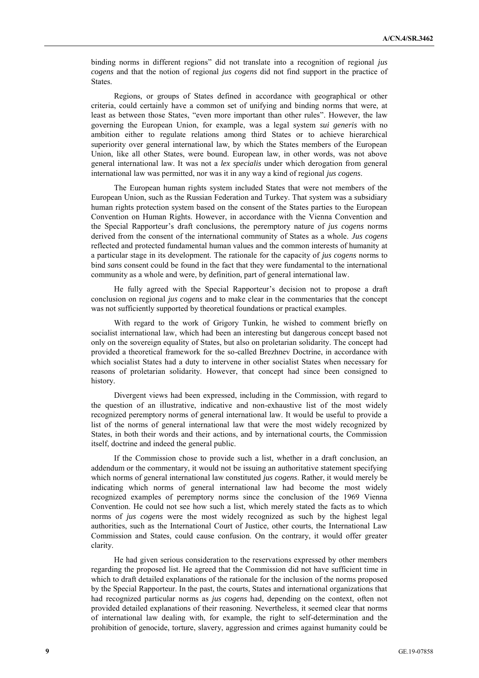binding norms in different regions" did not translate into a recognition of regional *jus cogens* and that the notion of regional *jus cogens* did not find support in the practice of States.

Regions, or groups of States defined in accordance with geographical or other criteria, could certainly have a common set of unifying and binding norms that were, at least as between those States, "even more important than other rules". However, the law governing the European Union, for example, was a legal system *sui generis* with no ambition either to regulate relations among third States or to achieve hierarchical superiority over general international law, by which the States members of the European Union, like all other States, were bound. European law, in other words, was not above general international law. It was not a *lex specialis* under which derogation from general international law was permitted, nor was it in any way a kind of regional *jus cogens*.

The European human rights system included States that were not members of the European Union, such as the Russian Federation and Turkey. That system was a subsidiary human rights protection system based on the consent of the States parties to the European Convention on Human Rights. However, in accordance with the Vienna Convention and the Special Rapporteur's draft conclusions, the peremptory nature of *jus cogens* norms derived from the consent of the international community of States as a whole. *Jus cogens* reflected and protected fundamental human values and the common interests of humanity at a particular stage in its development. The rationale for the capacity of *jus cogens* norms to bind *sans* consent could be found in the fact that they were fundamental to the international community as a whole and were, by definition, part of general international law.

He fully agreed with the Special Rapporteur's decision not to propose a draft conclusion on regional *jus cogens* and to make clear in the commentaries that the concept was not sufficiently supported by theoretical foundations or practical examples.

With regard to the work of Grigory Tunkin, he wished to comment briefly on socialist international law, which had been an interesting but dangerous concept based not only on the sovereign equality of States, but also on proletarian solidarity. The concept had provided a theoretical framework for the so-called Brezhnev Doctrine, in accordance with which socialist States had a duty to intervene in other socialist States when necessary for reasons of proletarian solidarity. However, that concept had since been consigned to history.

Divergent views had been expressed, including in the Commission, with regard to the question of an illustrative, indicative and non-exhaustive list of the most widely recognized peremptory norms of general international law. It would be useful to provide a list of the norms of general international law that were the most widely recognized by States, in both their words and their actions, and by international courts, the Commission itself, doctrine and indeed the general public.

If the Commission chose to provide such a list, whether in a draft conclusion, an addendum or the commentary, it would not be issuing an authoritative statement specifying which norms of general international law constituted *jus cogens*. Rather, it would merely be indicating which norms of general international law had become the most widely recognized examples of peremptory norms since the conclusion of the 1969 Vienna Convention. He could not see how such a list, which merely stated the facts as to which norms of *jus cogens* were the most widely recognized as such by the highest legal authorities, such as the International Court of Justice, other courts, the International Law Commission and States, could cause confusion. On the contrary, it would offer greater clarity.

He had given serious consideration to the reservations expressed by other members regarding the proposed list. He agreed that the Commission did not have sufficient time in which to draft detailed explanations of the rationale for the inclusion of the norms proposed by the Special Rapporteur. In the past, the courts, States and international organizations that had recognized particular norms as *jus cogens* had, depending on the context, often not provided detailed explanations of their reasoning. Nevertheless, it seemed clear that norms of international law dealing with, for example, the right to self-determination and the prohibition of genocide, torture, slavery, aggression and crimes against humanity could be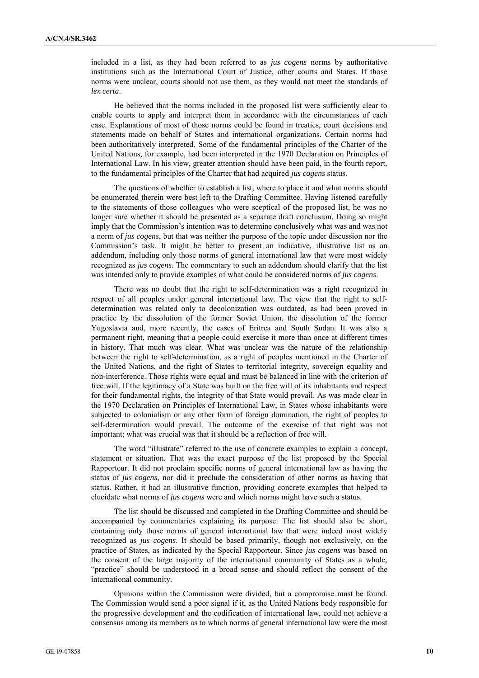included in a list, as they had been referred to as *jus cogens* norms by authoritative institutions such as the International Court of Justice, other courts and States. If those norms were unclear, courts should not use them, as they would not meet the standards of *lex certa*.

He believed that the norms included in the proposed list were sufficiently clear to enable courts to apply and interpret them in accordance with the circumstances of each case. Explanations of most of those norms could be found in treaties, court decisions and statements made on behalf of States and international organizations. Certain norms had been authoritatively interpreted. Some of the fundamental principles of the Charter of the United Nations, for example, had been interpreted in the 1970 Declaration on Principles of International Law. In his view, greater attention should have been paid, in the fourth report, to the fundamental principles of the Charter that had acquired *jus cogens* status.

The questions of whether to establish a list, where to place it and what norms should be enumerated therein were best left to the Drafting Committee. Having listened carefully to the statements of those colleagues who were sceptical of the proposed list, he was no longer sure whether it should be presented as a separate draft conclusion. Doing so might imply that the Commission's intention was to determine conclusively what was and was not a norm of *jus cogens*, but that was neither the purpose of the topic under discussion nor the Commission's task. It might be better to present an indicative, illustrative list as an addendum, including only those norms of general international law that were most widely recognized as *jus cogens*. The commentary to such an addendum should clarify that the list was intended only to provide examples of what could be considered norms of *jus cogens*.

There was no doubt that the right to self-determination was a right recognized in respect of all peoples under general international law. The view that the right to selfdetermination was related only to decolonization was outdated, as had been proved in practice by the dissolution of the former Soviet Union, the dissolution of the former Yugoslavia and, more recently, the cases of Eritrea and South Sudan. It was also a permanent right, meaning that a people could exercise it more than once at different times in history. That much was clear. What was unclear was the nature of the relationship between the right to self-determination, as a right of peoples mentioned in the Charter of the United Nations, and the right of States to territorial integrity, sovereign equality and non-interference. Those rights were equal and must be balanced in line with the criterion of free will. If the legitimacy of a State was built on the free will of its inhabitants and respect for their fundamental rights, the integrity of that State would prevail. As was made clear in the 1970 Declaration on Principles of International Law, in States whose inhabitants were subjected to colonialism or any other form of foreign domination, the right of peoples to self-determination would prevail. The outcome of the exercise of that right was not important; what was crucial was that it should be a reflection of free will.

The word "illustrate" referred to the use of concrete examples to explain a concept, statement or situation. That was the exact purpose of the list proposed by the Special Rapporteur. It did not proclaim specific norms of general international law as having the status of *jus cogens*, nor did it preclude the consideration of other norms as having that status. Rather, it had an illustrative function, providing concrete examples that helped to elucidate what norms of *jus cogens* were and which norms might have such a status.

The list should be discussed and completed in the Drafting Committee and should be accompanied by commentaries explaining its purpose. The list should also be short, containing only those norms of general international law that were indeed most widely recognized as *jus cogens*. It should be based primarily, though not exclusively, on the practice of States, as indicated by the Special Rapporteur. Since *jus cogens* was based on the consent of the large majority of the international community of States as a whole, "practice" should be understood in a broad sense and should reflect the consent of the international community.

Opinions within the Commission were divided, but a compromise must be found. The Commission would send a poor signal if it, as the United Nations body responsible for the progressive development and the codification of international law, could not achieve a consensus among its members as to which norms of general international law were the most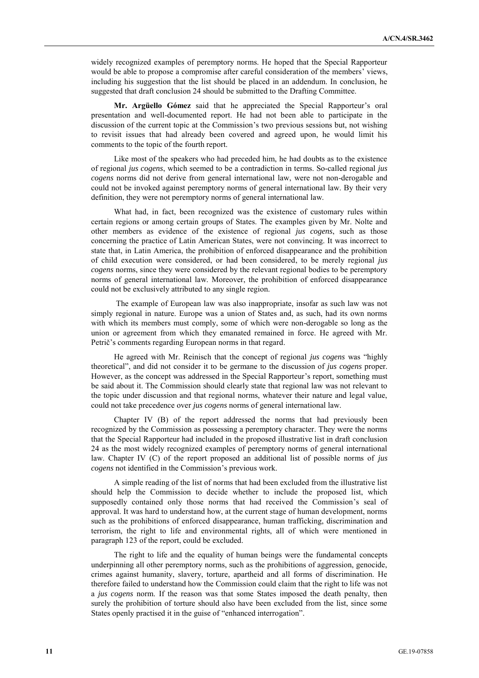widely recognized examples of peremptory norms. He hoped that the Special Rapporteur would be able to propose a compromise after careful consideration of the members' views, including his suggestion that the list should be placed in an addendum. In conclusion, he suggested that draft conclusion 24 should be submitted to the Drafting Committee.

**Mr. Argüello Gómez** said that he appreciated the Special Rapporteur's oral presentation and well-documented report. He had not been able to participate in the discussion of the current topic at the Commission's two previous sessions but, not wishing to revisit issues that had already been covered and agreed upon, he would limit his comments to the topic of the fourth report.

Like most of the speakers who had preceded him, he had doubts as to the existence of regional *jus cogens*, which seemed to be a contradiction in terms. So-called regional *jus cogens* norms did not derive from general international law, were not non-derogable and could not be invoked against peremptory norms of general international law. By their very definition, they were not peremptory norms of general international law.

What had, in fact, been recognized was the existence of customary rules within certain regions or among certain groups of States. The examples given by Mr. Nolte and other members as evidence of the existence of regional *jus cogens*, such as those concerning the practice of Latin American States, were not convincing. It was incorrect to state that, in Latin America, the prohibition of enforced disappearance and the prohibition of child execution were considered, or had been considered, to be merely regional *jus cogens* norms, since they were considered by the relevant regional bodies to be peremptory norms of general international law. Moreover, the prohibition of enforced disappearance could not be exclusively attributed to any single region.

The example of European law was also inappropriate, insofar as such law was not simply regional in nature. Europe was a union of States and, as such, had its own norms with which its members must comply, some of which were non-derogable so long as the union or agreement from which they emanated remained in force. He agreed with Mr. Petrič's comments regarding European norms in that regard.

He agreed with Mr. Reinisch that the concept of regional *jus cogens* was "highly theoretical", and did not consider it to be germane to the discussion of *jus cogens* proper. However, as the concept was addressed in the Special Rapporteur's report, something must be said about it. The Commission should clearly state that regional law was not relevant to the topic under discussion and that regional norms, whatever their nature and legal value, could not take precedence over *jus cogens* norms of general international law.

Chapter IV (B) of the report addressed the norms that had previously been recognized by the Commission as possessing a peremptory character. They were the norms that the Special Rapporteur had included in the proposed illustrative list in draft conclusion 24 as the most widely recognized examples of peremptory norms of general international law. Chapter IV (C) of the report proposed an additional list of possible norms of *jus cogens* not identified in the Commission's previous work.

A simple reading of the list of norms that had been excluded from the illustrative list should help the Commission to decide whether to include the proposed list, which supposedly contained only those norms that had received the Commission's seal of approval. It was hard to understand how, at the current stage of human development, norms such as the prohibitions of enforced disappearance, human trafficking, discrimination and terrorism, the right to life and environmental rights, all of which were mentioned in paragraph 123 of the report, could be excluded.

The right to life and the equality of human beings were the fundamental concepts underpinning all other peremptory norms, such as the prohibitions of aggression, genocide, crimes against humanity, slavery, torture, apartheid and all forms of discrimination. He therefore failed to understand how the Commission could claim that the right to life was not a *jus cogens* norm. If the reason was that some States imposed the death penalty, then surely the prohibition of torture should also have been excluded from the list, since some States openly practised it in the guise of "enhanced interrogation".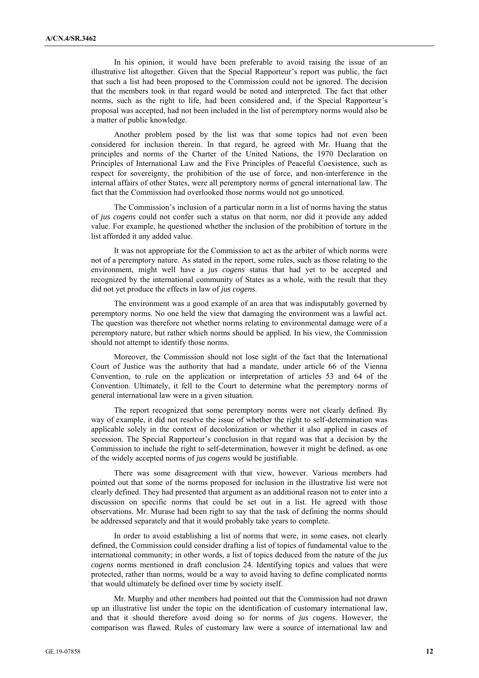In his opinion, it would have been preferable to avoid raising the issue of an illustrative list altogether. Given that the Special Rapporteur's report was public, the fact that such a list had been proposed to the Commission could not be ignored. The decision that the members took in that regard would be noted and interpreted. The fact that other norms, such as the right to life, had been considered and, if the Special Rapporteur's proposal was accepted, had not been included in the list of peremptory norms would also be a matter of public knowledge.

Another problem posed by the list was that some topics had not even been considered for inclusion therein. In that regard, he agreed with Mr. Huang that the principles and norms of the Charter of the United Nations, the 1970 Declaration on Principles of International Law and the Five Principles of Peaceful Coexistence, such as respect for sovereignty, the prohibition of the use of force, and non-interference in the internal affairs of other States, were all peremptory norms of general international law. The fact that the Commission had overlooked those norms would not go unnoticed.

The Commission's inclusion of a particular norm in a list of norms having the status of *jus cogens* could not confer such a status on that norm, nor did it provide any added value. For example, he questioned whether the inclusion of the prohibition of torture in the list afforded it any added value.

It was not appropriate for the Commission to act as the arbiter of which norms were not of a peremptory nature. As stated in the report, some rules, such as those relating to the environment, might well have a *jus cogens* status that had yet to be accepted and recognized by the international community of States as a whole, with the result that they did not yet produce the effects in law of *jus cogens*.

The environment was a good example of an area that was indisputably governed by peremptory norms. No one held the view that damaging the environment was a lawful act. The question was therefore not whether norms relating to environmental damage were of a peremptory nature, but rather which norms should be applied. In his view, the Commission should not attempt to identify those norms.

Moreover, the Commission should not lose sight of the fact that the International Court of Justice was the authority that had a mandate, under article 66 of the Vienna Convention, to rule on the application or interpretation of articles 53 and 64 of the Convention. Ultimately, it fell to the Court to determine what the peremptory norms of general international law were in a given situation.

The report recognized that some peremptory norms were not clearly defined. By way of example, it did not resolve the issue of whether the right to self-determination was applicable solely in the context of decolonization or whether it also applied in cases of secession. The Special Rapporteur's conclusion in that regard was that a decision by the Commission to include the right to self-determination, however it might be defined, as one of the widely accepted norms of *jus cogens* would be justifiable.

There was some disagreement with that view, however. Various members had pointed out that some of the norms proposed for inclusion in the illustrative list were not clearly defined. They had presented that argument as an additional reason not to enter into a discussion on specific norms that could be set out in a list. He agreed with those observations. Mr. Murase had been right to say that the task of defining the norms should be addressed separately and that it would probably take years to complete.

In order to avoid establishing a list of norms that were, in some cases, not clearly defined, the Commission could consider drafting a list of topics of fundamental value to the international community; in other words, a list of topics deduced from the nature of the *jus cogens* norms mentioned in draft conclusion 24. Identifying topics and values that were protected, rather than norms, would be a way to avoid having to define complicated norms that would ultimately be defined over time by society itself.

Mr. Murphy and other members had pointed out that the Commission had not drawn up an illustrative list under the topic on the identification of customary international law, and that it should therefore avoid doing so for norms of *jus cogens*. However, the comparison was flawed. Rules of customary law were a source of international law and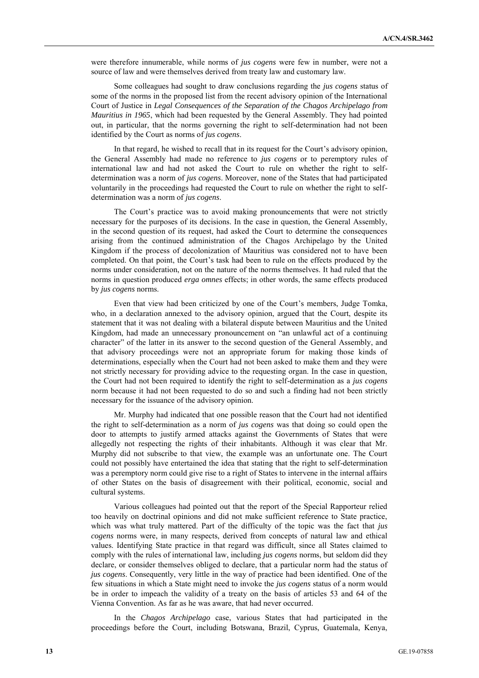were therefore innumerable, while norms of *jus cogens* were few in number, were not a source of law and were themselves derived from treaty law and customary law.

Some colleagues had sought to draw conclusions regarding the *jus cogens* status of some of the norms in the proposed list from the recent advisory opinion of the International Court of Justice in *Legal Consequences of the Separation of the Chagos Archipelago from Mauritius in 1965*, which had been requested by the General Assembly. They had pointed out, in particular, that the norms governing the right to self-determination had not been identified by the Court as norms of *jus cogens*.

In that regard, he wished to recall that in its request for the Court's advisory opinion, the General Assembly had made no reference to *jus cogens* or to peremptory rules of international law and had not asked the Court to rule on whether the right to selfdetermination was a norm of *jus cogens*. Moreover, none of the States that had participated voluntarily in the proceedings had requested the Court to rule on whether the right to selfdetermination was a norm of *jus cogens*.

The Court's practice was to avoid making pronouncements that were not strictly necessary for the purposes of its decisions. In the case in question, the General Assembly, in the second question of its request, had asked the Court to determine the consequences arising from the continued administration of the Chagos Archipelago by the United Kingdom if the process of decolonization of Mauritius was considered not to have been completed. On that point, the Court's task had been to rule on the effects produced by the norms under consideration, not on the nature of the norms themselves. It had ruled that the norms in question produced *erga omnes* effects; in other words, the same effects produced by *jus cogens* norms.

Even that view had been criticized by one of the Court's members, Judge Tomka, who, in a declaration annexed to the advisory opinion, argued that the Court, despite its statement that it was not dealing with a bilateral dispute between Mauritius and the United Kingdom, had made an unnecessary pronouncement on "an unlawful act of a continuing character" of the latter in its answer to the second question of the General Assembly, and that advisory proceedings were not an appropriate forum for making those kinds of determinations, especially when the Court had not been asked to make them and they were not strictly necessary for providing advice to the requesting organ. In the case in question, the Court had not been required to identify the right to self-determination as a *jus cogens* norm because it had not been requested to do so and such a finding had not been strictly necessary for the issuance of the advisory opinion.

Mr. Murphy had indicated that one possible reason that the Court had not identified the right to self-determination as a norm of *jus cogens* was that doing so could open the door to attempts to justify armed attacks against the Governments of States that were allegedly not respecting the rights of their inhabitants. Although it was clear that Mr. Murphy did not subscribe to that view, the example was an unfortunate one. The Court could not possibly have entertained the idea that stating that the right to self-determination was a peremptory norm could give rise to a right of States to intervene in the internal affairs of other States on the basis of disagreement with their political, economic, social and cultural systems.

Various colleagues had pointed out that the report of the Special Rapporteur relied too heavily on doctrinal opinions and did not make sufficient reference to State practice, which was what truly mattered. Part of the difficulty of the topic was the fact that *jus cogens* norms were, in many respects, derived from concepts of natural law and ethical values. Identifying State practice in that regard was difficult, since all States claimed to comply with the rules of international law, including *jus cogens* norms, but seldom did they declare, or consider themselves obliged to declare, that a particular norm had the status of *jus cogens*. Consequently, very little in the way of practice had been identified. One of the few situations in which a State might need to invoke the *jus cogens* status of a norm would be in order to impeach the validity of a treaty on the basis of articles 53 and 64 of the Vienna Convention. As far as he was aware, that had never occurred.

In the *Chagos Archipelago* case, various States that had participated in the proceedings before the Court, including Botswana, Brazil, Cyprus, Guatemala, Kenya,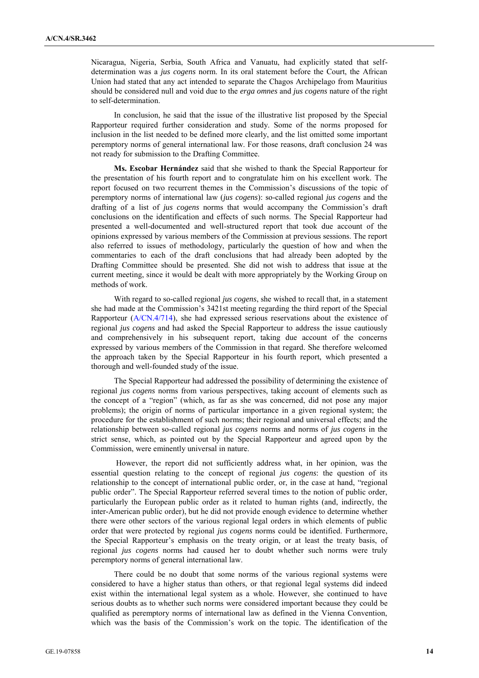Nicaragua, Nigeria, Serbia, South Africa and Vanuatu, had explicitly stated that selfdetermination was a *jus cogens* norm. In its oral statement before the Court, the African Union had stated that any act intended to separate the Chagos Archipelago from Mauritius should be considered null and void due to the *erga omnes* and *jus cogens* nature of the right to self-determination.

In conclusion, he said that the issue of the illustrative list proposed by the Special Rapporteur required further consideration and study. Some of the norms proposed for inclusion in the list needed to be defined more clearly, and the list omitted some important peremptory norms of general international law. For those reasons, draft conclusion 24 was not ready for submission to the Drafting Committee.

**Ms. Escobar Hernández** said that she wished to thank the Special Rapporteur for the presentation of his fourth report and to congratulate him on his excellent work. The report focused on two recurrent themes in the Commission's discussions of the topic of peremptory norms of international law (*jus cogens*): so-called regional *jus cogens* and the drafting of a list of *jus cogens* norms that would accompany the Commission's draft conclusions on the identification and effects of such norms. The Special Rapporteur had presented a well-documented and well-structured report that took due account of the opinions expressed by various members of the Commission at previous sessions. The report also referred to issues of methodology, particularly the question of how and when the commentaries to each of the draft conclusions that had already been adopted by the Drafting Committee should be presented. She did not wish to address that issue at the current meeting, since it would be dealt with more appropriately by the Working Group on methods of work.

With regard to so-called regional *jus cogens*, she wished to recall that, in a statement she had made at the Commission's 3421st meeting regarding the third report of the Special Rapporteur (A/CN.4/714), she had expressed serious reservations about the existence of regional *jus cogens* and had asked the Special Rapporteur to address the issue cautiously and comprehensively in his subsequent report, taking due account of the concerns expressed by various members of the Commission in that regard. She therefore welcomed the approach taken by the Special Rapporteur in his fourth report, which presented a thorough and well-founded study of the issue.

The Special Rapporteur had addressed the possibility of determining the existence of regional *jus cogens* norms from various perspectives, taking account of elements such as the concept of a "region" (which, as far as she was concerned, did not pose any major problems); the origin of norms of particular importance in a given regional system; the procedure for the establishment of such norms; their regional and universal effects; and the relationship between so-called regional *jus cogens* norms and norms of *jus cogens* in the strict sense, which, as pointed out by the Special Rapporteur and agreed upon by the Commission, were eminently universal in nature.

However, the report did not sufficiently address what, in her opinion, was the essential question relating to the concept of regional *jus cogens*: the question of its relationship to the concept of international public order, or, in the case at hand, "regional public order". The Special Rapporteur referred several times to the notion of public order, particularly the European public order as it related to human rights (and, indirectly, the inter-American public order), but he did not provide enough evidence to determine whether there were other sectors of the various regional legal orders in which elements of public order that were protected by regional *jus cogens* norms could be identified. Furthermore, the Special Rapporteur's emphasis on the treaty origin, or at least the treaty basis, of regional *jus cogens* norms had caused her to doubt whether such norms were truly peremptory norms of general international law.

There could be no doubt that some norms of the various regional systems were considered to have a higher status than others, or that regional legal systems did indeed exist within the international legal system as a whole. However, she continued to have serious doubts as to whether such norms were considered important because they could be qualified as peremptory norms of international law as defined in the Vienna Convention, which was the basis of the Commission's work on the topic. The identification of the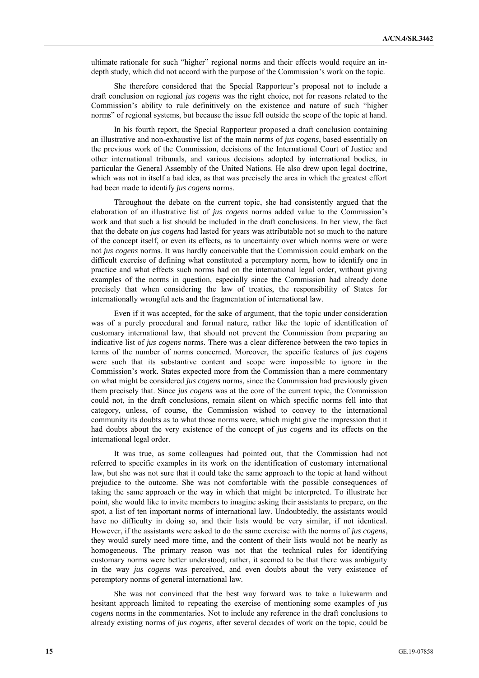ultimate rationale for such "higher" regional norms and their effects would require an indepth study, which did not accord with the purpose of the Commission's work on the topic.

She therefore considered that the Special Rapporteur's proposal not to include a draft conclusion on regional *jus cogens* was the right choice, not for reasons related to the Commission's ability to rule definitively on the existence and nature of such "higher norms" of regional systems, but because the issue fell outside the scope of the topic at hand.

In his fourth report, the Special Rapporteur proposed a draft conclusion containing an illustrative and non-exhaustive list of the main norms of *jus cogens*, based essentially on the previous work of the Commission, decisions of the International Court of Justice and other international tribunals, and various decisions adopted by international bodies, in particular the General Assembly of the United Nations. He also drew upon legal doctrine, which was not in itself a bad idea, as that was precisely the area in which the greatest effort had been made to identify *jus cogens* norms.

Throughout the debate on the current topic, she had consistently argued that the elaboration of an illustrative list of *jus cogens* norms added value to the Commission's work and that such a list should be included in the draft conclusions. In her view, the fact that the debate on *jus cogens* had lasted for years was attributable not so much to the nature of the concept itself, or even its effects, as to uncertainty over which norms were or were not *jus cogens* norms. It was hardly conceivable that the Commission could embark on the difficult exercise of defining what constituted a peremptory norm, how to identify one in practice and what effects such norms had on the international legal order, without giving examples of the norms in question, especially since the Commission had already done precisely that when considering the law of treaties, the responsibility of States for internationally wrongful acts and the fragmentation of international law.

Even if it was accepted, for the sake of argument, that the topic under consideration was of a purely procedural and formal nature, rather like the topic of identification of customary international law, that should not prevent the Commission from preparing an indicative list of *jus cogens* norms. There was a clear difference between the two topics in terms of the number of norms concerned. Moreover, the specific features of *jus cogens* were such that its substantive content and scope were impossible to ignore in the Commission's work. States expected more from the Commission than a mere commentary on what might be considered *jus cogens* norms, since the Commission had previously given them precisely that. Since *jus cogens* was at the core of the current topic, the Commission could not, in the draft conclusions, remain silent on which specific norms fell into that category, unless, of course, the Commission wished to convey to the international community its doubts as to what those norms were, which might give the impression that it had doubts about the very existence of the concept of *jus cogens* and its effects on the international legal order.

It was true, as some colleagues had pointed out, that the Commission had not referred to specific examples in its work on the identification of customary international law, but she was not sure that it could take the same approach to the topic at hand without prejudice to the outcome. She was not comfortable with the possible consequences of taking the same approach or the way in which that might be interpreted. To illustrate her point, she would like to invite members to imagine asking their assistants to prepare, on the spot, a list of ten important norms of international law. Undoubtedly, the assistants would have no difficulty in doing so, and their lists would be very similar, if not identical. However, if the assistants were asked to do the same exercise with the norms of *jus cogens*, they would surely need more time, and the content of their lists would not be nearly as homogeneous. The primary reason was not that the technical rules for identifying customary norms were better understood; rather, it seemed to be that there was ambiguity in the way *jus cogens* was perceived, and even doubts about the very existence of peremptory norms of general international law.

She was not convinced that the best way forward was to take a lukewarm and hesitant approach limited to repeating the exercise of mentioning some examples of *jus cogens* norms in the commentaries. Not to include any reference in the draft conclusions to already existing norms of *jus cogens*, after several decades of work on the topic, could be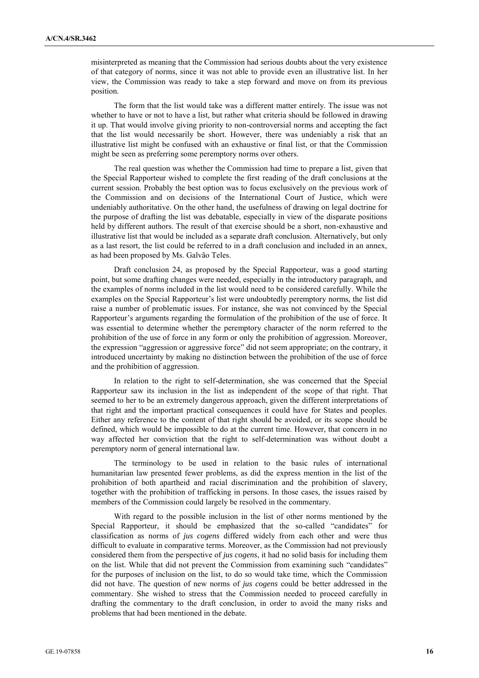misinterpreted as meaning that the Commission had serious doubts about the very existence of that category of norms, since it was not able to provide even an illustrative list. In her view, the Commission was ready to take a step forward and move on from its previous position.

The form that the list would take was a different matter entirely. The issue was not whether to have or not to have a list, but rather what criteria should be followed in drawing it up. That would involve giving priority to non-controversial norms and accepting the fact that the list would necessarily be short. However, there was undeniably a risk that an illustrative list might be confused with an exhaustive or final list, or that the Commission might be seen as preferring some peremptory norms over others.

The real question was whether the Commission had time to prepare a list, given that the Special Rapporteur wished to complete the first reading of the draft conclusions at the current session. Probably the best option was to focus exclusively on the previous work of the Commission and on decisions of the International Court of Justice, which were undeniably authoritative. On the other hand, the usefulness of drawing on legal doctrine for the purpose of drafting the list was debatable, especially in view of the disparate positions held by different authors. The result of that exercise should be a short, non-exhaustive and illustrative list that would be included as a separate draft conclusion. Alternatively, but only as a last resort, the list could be referred to in a draft conclusion and included in an annex, as had been proposed by Ms. Galvão Teles.

Draft conclusion 24, as proposed by the Special Rapporteur, was a good starting point, but some drafting changes were needed, especially in the introductory paragraph, and the examples of norms included in the list would need to be considered carefully. While the examples on the Special Rapporteur's list were undoubtedly peremptory norms, the list did raise a number of problematic issues. For instance, she was not convinced by the Special Rapporteur's arguments regarding the formulation of the prohibition of the use of force. It was essential to determine whether the peremptory character of the norm referred to the prohibition of the use of force in any form or only the prohibition of aggression. Moreover, the expression "aggression or aggressive force" did not seem appropriate; on the contrary, it introduced uncertainty by making no distinction between the prohibition of the use of force and the prohibition of aggression.

In relation to the right to self-determination, she was concerned that the Special Rapporteur saw its inclusion in the list as independent of the scope of that right. That seemed to her to be an extremely dangerous approach, given the different interpretations of that right and the important practical consequences it could have for States and peoples. Either any reference to the content of that right should be avoided, or its scope should be defined, which would be impossible to do at the current time. However, that concern in no way affected her conviction that the right to self-determination was without doubt a peremptory norm of general international law.

The terminology to be used in relation to the basic rules of international humanitarian law presented fewer problems, as did the express mention in the list of the prohibition of both apartheid and racial discrimination and the prohibition of slavery, together with the prohibition of trafficking in persons. In those cases, the issues raised by members of the Commission could largely be resolved in the commentary.

With regard to the possible inclusion in the list of other norms mentioned by the Special Rapporteur, it should be emphasized that the so-called "candidates" for classification as norms of *jus cogens* differed widely from each other and were thus difficult to evaluate in comparative terms. Moreover, as the Commission had not previously considered them from the perspective of *jus cogens*, it had no solid basis for including them on the list. While that did not prevent the Commission from examining such "candidates" for the purposes of inclusion on the list, to do so would take time, which the Commission did not have. The question of new norms of *jus cogens* could be better addressed in the commentary. She wished to stress that the Commission needed to proceed carefully in drafting the commentary to the draft conclusion, in order to avoid the many risks and problems that had been mentioned in the debate.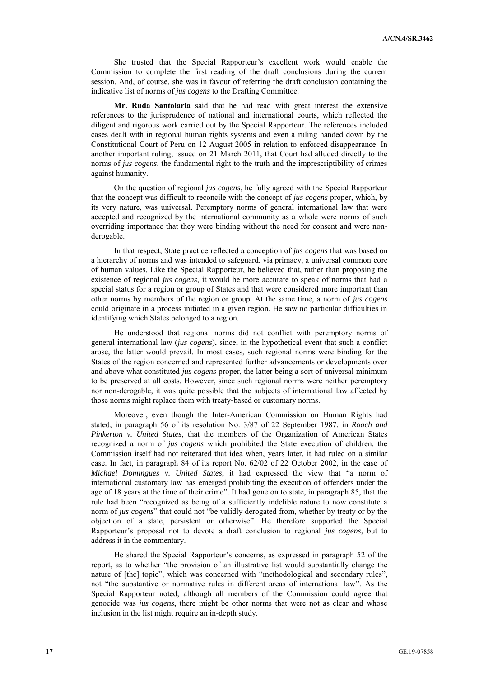She trusted that the Special Rapporteur's excellent work would enable the Commission to complete the first reading of the draft conclusions during the current session. And, of course, she was in favour of referring the draft conclusion containing the indicative list of norms of *jus cogens* to the Drafting Committee.

**Mr. Ruda Santolaria** said that he had read with great interest the extensive references to the jurisprudence of national and international courts, which reflected the diligent and rigorous work carried out by the Special Rapporteur. The references included cases dealt with in regional human rights systems and even a ruling handed down by the Constitutional Court of Peru on 12 August 2005 in relation to enforced disappearance. In another important ruling, issued on 21 March 2011, that Court had alluded directly to the norms of *jus cogens*, the fundamental right to the truth and the imprescriptibility of crimes against humanity.

On the question of regional *jus cogens*, he fully agreed with the Special Rapporteur that the concept was difficult to reconcile with the concept of *jus cogens* proper, which, by its very nature, was universal. Peremptory norms of general international law that were accepted and recognized by the international community as a whole were norms of such overriding importance that they were binding without the need for consent and were nonderogable.

In that respect, State practice reflected a conception of *jus cogens* that was based on a hierarchy of norms and was intended to safeguard, via primacy, a universal common core of human values. Like the Special Rapporteur, he believed that, rather than proposing the existence of regional *jus cogens*, it would be more accurate to speak of norms that had a special status for a region or group of States and that were considered more important than other norms by members of the region or group. At the same time, a norm of *jus cogens* could originate in a process initiated in a given region. He saw no particular difficulties in identifying which States belonged to a region.

He understood that regional norms did not conflict with peremptory norms of general international law (*jus cogens*), since, in the hypothetical event that such a conflict arose, the latter would prevail. In most cases, such regional norms were binding for the States of the region concerned and represented further advancements or developments over and above what constituted *jus cogens* proper, the latter being a sort of universal minimum to be preserved at all costs. However, since such regional norms were neither peremptory nor non-derogable, it was quite possible that the subjects of international law affected by those norms might replace them with treaty-based or customary norms.

Moreover, even though the Inter-American Commission on Human Rights had stated, in paragraph 56 of its resolution No. 3/87 of 22 September 1987, in *Roach and Pinkerton v. United States*, that the members of the Organization of American States recognized a norm of *jus cogens* which prohibited the State execution of children, the Commission itself had not reiterated that idea when, years later, it had ruled on a similar case. In fact, in paragraph 84 of its report No. 62/02 of 22 October 2002, in the case of *Michael Domingues v. United States*, it had expressed the view that "a norm of international customary law has emerged prohibiting the execution of offenders under the age of 18 years at the time of their crime". It had gone on to state, in paragraph 85, that the rule had been "recognized as being of a sufficiently indelible nature to now constitute a norm of *jus cogens*" that could not "be validly derogated from, whether by treaty or by the objection of a state, persistent or otherwise". He therefore supported the Special Rapporteur's proposal not to devote a draft conclusion to regional *jus cogens*, but to address it in the commentary.

He shared the Special Rapporteur's concerns, as expressed in paragraph 52 of the report, as to whether "the provision of an illustrative list would substantially change the nature of [the] topic", which was concerned with "methodological and secondary rules", not "the substantive or normative rules in different areas of international law". As the Special Rapporteur noted, although all members of the Commission could agree that genocide was *jus cogens*, there might be other norms that were not as clear and whose inclusion in the list might require an in-depth study.